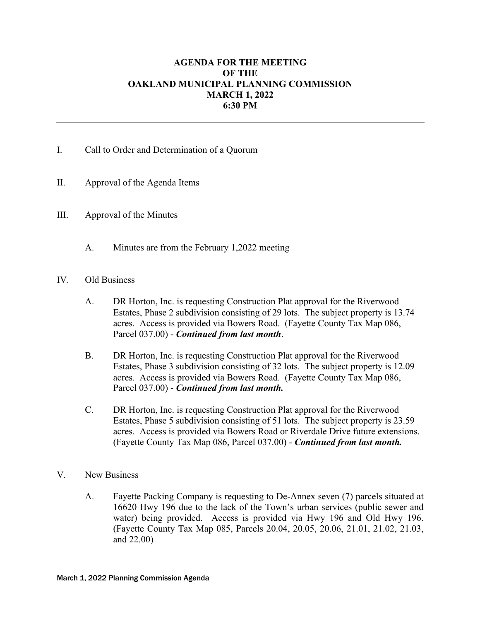## **AGENDA FOR THE MEETING OF THE OAKLAND MUNICIPAL PLANNING COMMISSION MARCH 1, 2022 6:30 PM**

## I. Call to Order and Determination of a Quorum

- II. Approval of the Agenda Items
- III. Approval of the Minutes
	- A. Minutes are from the February 1,2022 meeting

## IV. Old Business

- A. DR Horton, Inc. is requesting Construction Plat approval for the Riverwood Estates, Phase 2 subdivision consisting of 29 lots. The subject property is 13.74 acres. Access is provided via Bowers Road. (Fayette County Tax Map 086, Parcel 037.00) - *Continued from last month*.
- B. DR Horton, Inc. is requesting Construction Plat approval for the Riverwood Estates, Phase 3 subdivision consisting of 32 lots. The subject property is 12.09 acres. Access is provided via Bowers Road. (Fayette County Tax Map 086, Parcel 037.00) - *Continued from last month.*
- C. DR Horton, Inc. is requesting Construction Plat approval for the Riverwood Estates, Phase 5 subdivision consisting of 51 lots. The subject property is 23.59 acres. Access is provided via Bowers Road or Riverdale Drive future extensions. (Fayette County Tax Map 086, Parcel 037.00) - *Continued from last month.*
- V. New Business
	- A. Fayette Packing Company is requesting to De-Annex seven (7) parcels situated at 16620 Hwy 196 due to the lack of the Town's urban services (public sewer and water) being provided. Access is provided via Hwy 196 and Old Hwy 196. (Fayette County Tax Map 085, Parcels 20.04, 20.05, 20.06, 21.01, 21.02, 21.03, and 22.00)